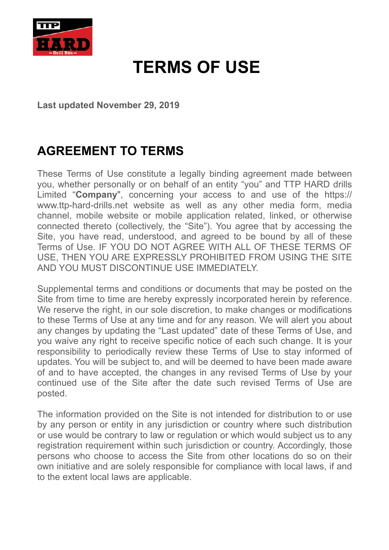

# **TERMS OF USE**

**Last updated November 29, 2019** 

## **AGREEMENT TO TERMS**

These Terms of Use constitute a legally binding agreement made between you, whether personally or on behalf of an entity "you" and TTP HARD drills Limited "**Company**", concerning your access to and use of the https:// www.ttp-hard-drills.net website as well as any other media form, media channel, mobile website or mobile application related, linked, or otherwise connected thereto (collectively, the "Site"). You agree that by accessing the Site, you have read, understood, and agreed to be bound by all of these Terms of Use. IF YOU DO NOT AGREE WITH ALL OF THESE TERMS OF USE, THEN YOU ARE EXPRESSLY PROHIBITED FROM USING THE SITE AND YOU MUST DISCONTINUE USE IMMEDIATELY.

Supplemental terms and conditions or documents that may be posted on the Site from time to time are hereby expressly incorporated herein by reference. We reserve the right, in our sole discretion, to make changes or modifications to these Terms of Use at any time and for any reason. We will alert you about any changes by updating the "Last updated" date of these Terms of Use, and you waive any right to receive specific notice of each such change. It is your responsibility to periodically review these Terms of Use to stay informed of updates. You will be subject to, and will be deemed to have been made aware of and to have accepted, the changes in any revised Terms of Use by your continued use of the Site after the date such revised Terms of Use are posted.

The information provided on the Site is not intended for distribution to or use by any person or entity in any jurisdiction or country where such distribution or use would be contrary to law or regulation or which would subject us to any registration requirement within such jurisdiction or country. Accordingly, those persons who choose to access the Site from other locations do so on their own initiative and are solely responsible for compliance with local laws, if and to the extent local laws are applicable.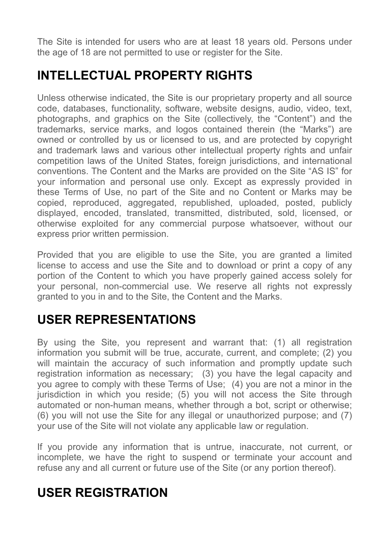The Site is intended for users who are at least 18 years old. Persons under the age of 18 are not permitted to use or register for the Site.

## **INTELLECTUAL PROPERTY RIGHTS**

Unless otherwise indicated, the Site is our proprietary property and all source code, databases, functionality, software, website designs, audio, video, text, photographs, and graphics on the Site (collectively, the "Content") and the trademarks, service marks, and logos contained therein (the "Marks") are owned or controlled by us or licensed to us, and are protected by copyright and trademark laws and various other intellectual property rights and unfair competition laws of the United States, foreign jurisdictions, and international conventions. The Content and the Marks are provided on the Site "AS IS" for your information and personal use only. Except as expressly provided in these Terms of Use, no part of the Site and no Content or Marks may be copied, reproduced, aggregated, republished, uploaded, posted, publicly displayed, encoded, translated, transmitted, distributed, sold, licensed, or otherwise exploited for any commercial purpose whatsoever, without our express prior written permission.

Provided that you are eligible to use the Site, you are granted a limited license to access and use the Site and to download or print a copy of any portion of the Content to which you have properly gained access solely for your personal, non-commercial use. We reserve all rights not expressly granted to you in and to the Site, the Content and the Marks.

# **USER REPRESENTATIONS**

By using the Site, you represent and warrant that: (1) all registration information you submit will be true, accurate, current, and complete; (2) you will maintain the accuracy of such information and promptly update such registration information as necessary; (3) you have the legal capacity and you agree to comply with these Terms of Use; (4) you are not a minor in the jurisdiction in which you reside; (5) you will not access the Site through automated or non-human means, whether through a bot, script or otherwise; (6) you will not use the Site for any illegal or unauthorized purpose; and (7) your use of the Site will not violate any applicable law or regulation.

If you provide any information that is untrue, inaccurate, not current, or incomplete, we have the right to suspend or terminate your account and refuse any and all current or future use of the Site (or any portion thereof).

#### **USER REGISTRATION**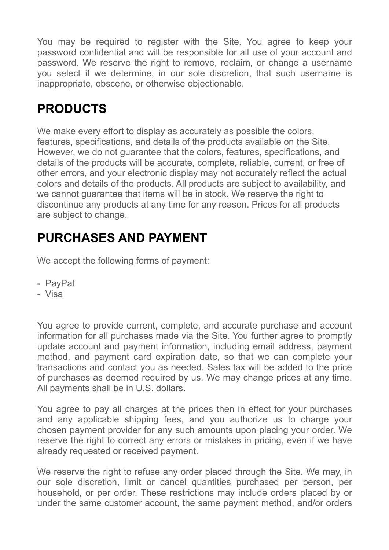You may be required to register with the Site. You agree to keep your password confidential and will be responsible for all use of your account and password. We reserve the right to remove, reclaim, or change a username you select if we determine, in our sole discretion, that such username is inappropriate, obscene, or otherwise objectionable.

# **PRODUCTS**

We make every effort to display as accurately as possible the colors, features, specifications, and details of the products available on the Site. However, we do not guarantee that the colors, features, specifications, and details of the products will be accurate, complete, reliable, current, or free of other errors, and your electronic display may not accurately reflect the actual colors and details of the products. All products are subject to availability, and we cannot guarantee that items will be in stock. We reserve the right to discontinue any products at any time for any reason. Prices for all products are subject to change.

# **PURCHASES AND PAYMENT**

We accept the following forms of payment:

- PayPal
- Visa

You agree to provide current, complete, and accurate purchase and account information for all purchases made via the Site. You further agree to promptly update account and payment information, including email address, payment method, and payment card expiration date, so that we can complete your transactions and contact you as needed. Sales tax will be added to the price of purchases as deemed required by us. We may change prices at any time. All payments shall be in U.S. dollars.

You agree to pay all charges at the prices then in effect for your purchases and any applicable shipping fees, and you authorize us to charge your chosen payment provider for any such amounts upon placing your order. We reserve the right to correct any errors or mistakes in pricing, even if we have already requested or received payment.

We reserve the right to refuse any order placed through the Site. We may, in our sole discretion, limit or cancel quantities purchased per person, per household, or per order. These restrictions may include orders placed by or under the same customer account, the same payment method, and/or orders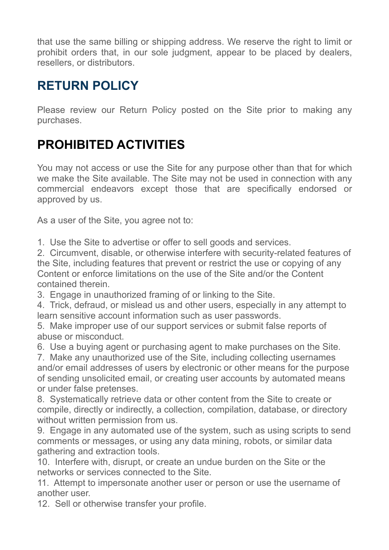that use the same billing or shipping address. We reserve the right to limit or prohibit orders that, in our sole judgment, appear to be placed by dealers, resellers, or distributors.

# **RETURN POLICY**

Please review our Return Policy posted on the Site prior to making any purchases.

# **PROHIBITED ACTIVITIES**

You may not access or use the Site for any purpose other than that for which we make the Site available. The Site may not be used in connection with any commercial endeavors except those that are specifically endorsed or approved by us.

As a user of the Site, you agree not to:

1. Use the Site to advertise or offer to sell goods and services.

2. Circumvent, disable, or otherwise interfere with security-related features of the Site, including features that prevent or restrict the use or copying of any Content or enforce limitations on the use of the Site and/or the Content contained therein.

3. Engage in unauthorized framing of or linking to the Site.

4. Trick, defraud, or mislead us and other users, especially in any attempt to learn sensitive account information such as user passwords.

5. Make improper use of our support services or submit false reports of abuse or misconduct.

6. Use a buying agent or purchasing agent to make purchases on the Site.

7. Make any unauthorized use of the Site, including collecting usernames and/or email addresses of users by electronic or other means for the purpose of sending unsolicited email, or creating user accounts by automated means or under false pretenses.

8. Systematically retrieve data or other content from the Site to create or compile, directly or indirectly, a collection, compilation, database, or directory without written permission from us.

9. Engage in any automated use of the system, such as using scripts to send comments or messages, or using any data mining, robots, or similar data gathering and extraction tools.

10. Interfere with, disrupt, or create an undue burden on the Site or the networks or services connected to the Site.

11. Attempt to impersonate another user or person or use the username of another user.

12. Sell or otherwise transfer your profile.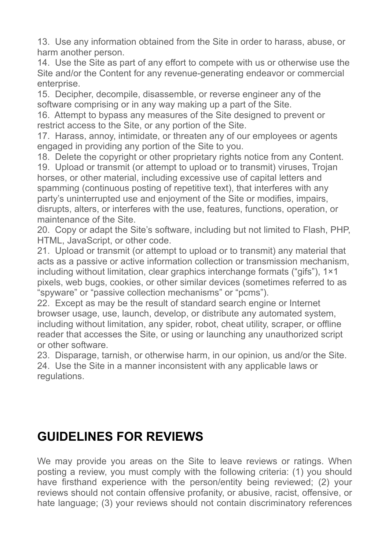13. Use any information obtained from the Site in order to harass, abuse, or harm another person.

14. Use the Site as part of any effort to compete with us or otherwise use the Site and/or the Content for any revenue-generating endeavor or commercial enterprise.

15. Decipher, decompile, disassemble, or reverse engineer any of the software comprising or in any way making up a part of the Site.

16. Attempt to bypass any measures of the Site designed to prevent or restrict access to the Site, or any portion of the Site.

17. Harass, annoy, intimidate, or threaten any of our employees or agents engaged in providing any portion of the Site to you.

18. Delete the copyright or other proprietary rights notice from any Content. 19. Upload or transmit (or attempt to upload or to transmit) viruses, Trojan horses, or other material, including excessive use of capital letters and spamming (continuous posting of repetitive text), that interferes with any party's uninterrupted use and enjoyment of the Site or modifies, impairs, disrupts, alters, or interferes with the use, features, functions, operation, or maintenance of the Site.

20. Copy or adapt the Site's software, including but not limited to Flash, PHP, HTML, JavaScript, or other code.

21. Upload or transmit (or attempt to upload or to transmit) any material that acts as a passive or active information collection or transmission mechanism, including without limitation, clear graphics interchange formats ("gifs"), 1×1 pixels, web bugs, cookies, or other similar devices (sometimes referred to as "spyware" or "passive collection mechanisms" or "pcms").

22. Except as may be the result of standard search engine or Internet browser usage, use, launch, develop, or distribute any automated system, including without limitation, any spider, robot, cheat utility, scraper, or offline reader that accesses the Site, or using or launching any unauthorized script or other software.

23. Disparage, tarnish, or otherwise harm, in our opinion, us and/or the Site. 24. Use the Site in a manner inconsistent with any applicable laws or regulations.

# **GUIDELINES FOR REVIEWS**

We may provide you areas on the Site to leave reviews or ratings. When posting a review, you must comply with the following criteria: (1) you should have firsthand experience with the person/entity being reviewed; (2) your reviews should not contain offensive profanity, or abusive, racist, offensive, or hate language; (3) your reviews should not contain discriminatory references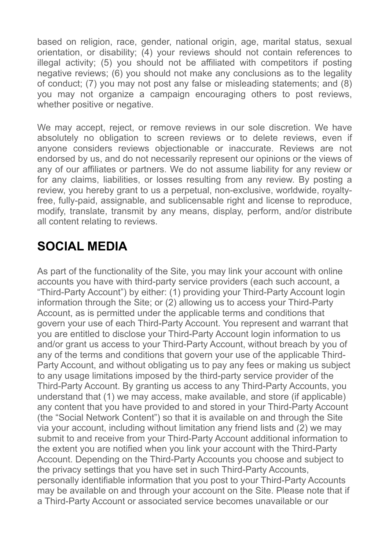based on religion, race, gender, national origin, age, marital status, sexual orientation, or disability; (4) your reviews should not contain references to illegal activity; (5) you should not be affiliated with competitors if posting negative reviews; (6) you should not make any conclusions as to the legality of conduct; (7) you may not post any false or misleading statements; and (8) you may not organize a campaign encouraging others to post reviews, whether positive or negative.

We may accept, reject, or remove reviews in our sole discretion. We have absolutely no obligation to screen reviews or to delete reviews, even if anyone considers reviews objectionable or inaccurate. Reviews are not endorsed by us, and do not necessarily represent our opinions or the views of any of our affiliates or partners. We do not assume liability for any review or for any claims, liabilities, or losses resulting from any review. By posting a review, you hereby grant to us a perpetual, non-exclusive, worldwide, royaltyfree, fully-paid, assignable, and sublicensable right and license to reproduce, modify, translate, transmit by any means, display, perform, and/or distribute all content relating to reviews.

#### **SOCIAL MEDIA**

As part of the functionality of the Site, you may link your account with online accounts you have with third-party service providers (each such account, a "Third-Party Account") by either: (1) providing your Third-Party Account login information through the Site; or (2) allowing us to access your Third-Party Account, as is permitted under the applicable terms and conditions that govern your use of each Third-Party Account. You represent and warrant that you are entitled to disclose your Third-Party Account login information to us and/or grant us access to your Third-Party Account, without breach by you of any of the terms and conditions that govern your use of the applicable Third-Party Account, and without obligating us to pay any fees or making us subject to any usage limitations imposed by the third-party service provider of the Third-Party Account. By granting us access to any Third-Party Accounts, you understand that (1) we may access, make available, and store (if applicable) any content that you have provided to and stored in your Third-Party Account (the "Social Network Content") so that it is available on and through the Site via your account, including without limitation any friend lists and (2) we may submit to and receive from your Third-Party Account additional information to the extent you are notified when you link your account with the Third-Party Account. Depending on the Third-Party Accounts you choose and subject to the privacy settings that you have set in such Third-Party Accounts, personally identifiable information that you post to your Third-Party Accounts may be available on and through your account on the Site. Please note that if a Third-Party Account or associated service becomes unavailable or our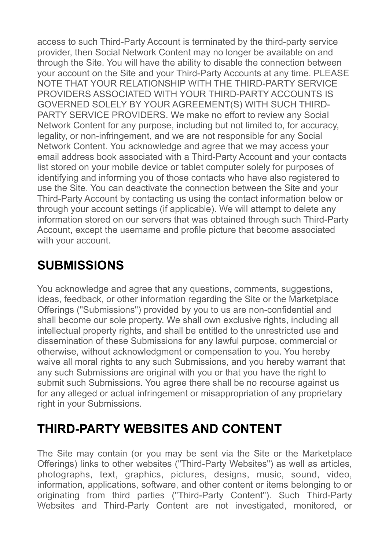access to such Third-Party Account is terminated by the third-party service provider, then Social Network Content may no longer be available on and through the Site. You will have the ability to disable the connection between your account on the Site and your Third-Party Accounts at any time. PLEASE NOTE THAT YOUR RELATIONSHIP WITH THE THIRD-PARTY SERVICE PROVIDERS ASSOCIATED WITH YOUR THIRD-PARTY ACCOUNTS IS GOVERNED SOLELY BY YOUR AGREEMENT(S) WITH SUCH THIRD-PARTY SERVICE PROVIDERS. We make no effort to review any Social Network Content for any purpose, including but not limited to, for accuracy, legality, or non-infringement, and we are not responsible for any Social Network Content. You acknowledge and agree that we may access your email address book associated with a Third-Party Account and your contacts list stored on your mobile device or tablet computer solely for purposes of identifying and informing you of those contacts who have also registered to use the Site. You can deactivate the connection between the Site and your Third-Party Account by contacting us using the contact information below or through your account settings (if applicable). We will attempt to delete any information stored on our servers that was obtained through such Third-Party Account, except the username and profile picture that become associated with your account.

## **SUBMISSIONS**

You acknowledge and agree that any questions, comments, suggestions, ideas, feedback, or other information regarding the Site or the Marketplace Offerings ("Submissions") provided by you to us are non-confidential and shall become our sole property. We shall own exclusive rights, including all intellectual property rights, and shall be entitled to the unrestricted use and dissemination of these Submissions for any lawful purpose, commercial or otherwise, without acknowledgment or compensation to you. You hereby waive all moral rights to any such Submissions, and you hereby warrant that any such Submissions are original with you or that you have the right to submit such Submissions. You agree there shall be no recourse against us for any alleged or actual infringement or misappropriation of any proprietary right in your Submissions.

# **THIRD-PARTY WEBSITES AND CONTENT**

The Site may contain (or you may be sent via the Site or the Marketplace Offerings) links to other websites ("Third-Party Websites") as well as articles, photographs, text, graphics, pictures, designs, music, sound, video, information, applications, software, and other content or items belonging to or originating from third parties ("Third-Party Content"). Such Third-Party Websites and Third-Party Content are not investigated, monitored, or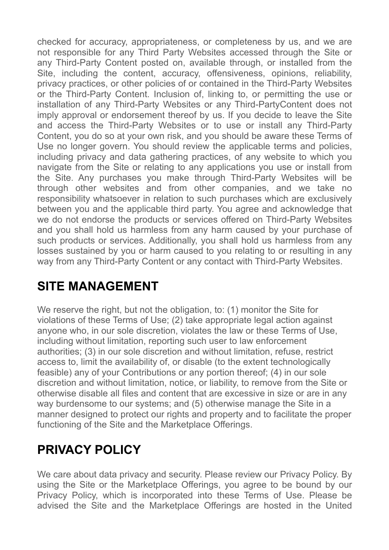checked for accuracy, appropriateness, or completeness by us, and we are not responsible for any Third Party Websites accessed through the Site or any Third-Party Content posted on, available through, or installed from the Site, including the content, accuracy, offensiveness, opinions, reliability, privacy practices, or other policies of or contained in the Third-Party Websites or the Third-Party Content. Inclusion of, linking to, or permitting the use or installation of any Third-Party Websites or any Third-PartyContent does not imply approval or endorsement thereof by us. If you decide to leave the Site and access the Third-Party Websites or to use or install any Third-Party Content, you do so at your own risk, and you should be aware these Terms of Use no longer govern. You should review the applicable terms and policies, including privacy and data gathering practices, of any website to which you navigate from the Site or relating to any applications you use or install from the Site. Any purchases you make through Third-Party Websites will be through other websites and from other companies, and we take no responsibility whatsoever in relation to such purchases which are exclusively between you and the applicable third party. You agree and acknowledge that we do not endorse the products or services offered on Third-Party Websites and you shall hold us harmless from any harm caused by your purchase of such products or services. Additionally, you shall hold us harmless from any losses sustained by you or harm caused to you relating to or resulting in any way from any Third-Party Content or any contact with Third-Party Websites.

#### **SITE MANAGEMENT**

We reserve the right, but not the obligation, to: (1) monitor the Site for violations of these Terms of Use; (2) take appropriate legal action against anyone who, in our sole discretion, violates the law or these Terms of Use, including without limitation, reporting such user to law enforcement authorities; (3) in our sole discretion and without limitation, refuse, restrict access to, limit the availability of, or disable (to the extent technologically feasible) any of your Contributions or any portion thereof; (4) in our sole discretion and without limitation, notice, or liability, to remove from the Site or otherwise disable all files and content that are excessive in size or are in any way burdensome to our systems; and (5) otherwise manage the Site in a manner designed to protect our rights and property and to facilitate the proper functioning of the Site and the Marketplace Offerings.

# **PRIVACY POLICY**

We care about data privacy and security. Please review our Privacy Policy. By using the Site or the Marketplace Offerings, you agree to be bound by our Privacy Policy, which is incorporated into these Terms of Use. Please be advised the Site and the Marketplace Offerings are hosted in the United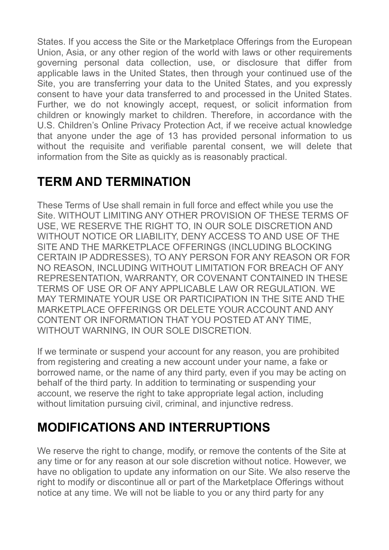States. If you access the Site or the Marketplace Offerings from the European Union, Asia, or any other region of the world with laws or other requirements governing personal data collection, use, or disclosure that differ from applicable laws in the United States, then through your continued use of the Site, you are transferring your data to the United States, and you expressly consent to have your data transferred to and processed in the United States. Further, we do not knowingly accept, request, or solicit information from children or knowingly market to children. Therefore, in accordance with the U.S. Children's Online Privacy Protection Act, if we receive actual knowledge that anyone under the age of 13 has provided personal information to us without the requisite and verifiable parental consent, we will delete that information from the Site as quickly as is reasonably practical.

# **TERM AND TERMINATION**

These Terms of Use shall remain in full force and effect while you use the Site. WITHOUT LIMITING ANY OTHER PROVISION OF THESE TERMS OF USE, WE RESERVE THE RIGHT TO, IN OUR SOLE DISCRETION AND WITHOUT NOTICE OR LIABILITY, DENY ACCESS TO AND USE OF THE SITE AND THE MARKETPLACE OFFERINGS (INCLUDING BLOCKING CERTAIN IP ADDRESSES), TO ANY PERSON FOR ANY REASON OR FOR NO REASON, INCLUDING WITHOUT LIMITATION FOR BREACH OF ANY REPRESENTATION, WARRANTY, OR COVENANT CONTAINED IN THESE TERMS OF USE OR OF ANY APPLICABLE LAW OR REGULATION. WE MAY TERMINATE YOUR USE OR PARTICIPATION IN THE SITE AND THE MARKETPLACE OFFERINGS OR DELETE YOUR ACCOUNT AND ANY CONTENT OR INFORMATION THAT YOU POSTED AT ANY TIME, WITHOUT WARNING, IN OUR SOLE DISCRETION.

If we terminate or suspend your account for any reason, you are prohibited from registering and creating a new account under your name, a fake or borrowed name, or the name of any third party, even if you may be acting on behalf of the third party. In addition to terminating or suspending your account, we reserve the right to take appropriate legal action, including without limitation pursuing civil, criminal, and injunctive redress.

# **MODIFICATIONS AND INTERRUPTIONS**

We reserve the right to change, modify, or remove the contents of the Site at any time or for any reason at our sole discretion without notice. However, we have no obligation to update any information on our Site. We also reserve the right to modify or discontinue all or part of the Marketplace Offerings without notice at any time. We will not be liable to you or any third party for any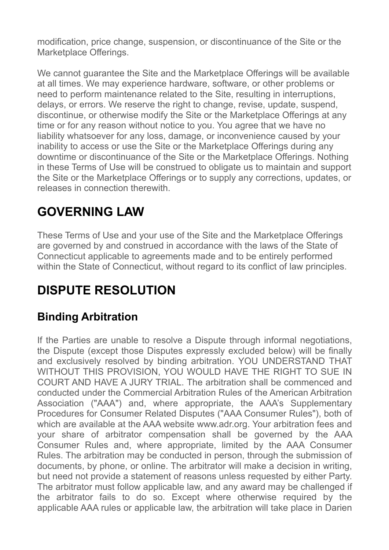modification, price change, suspension, or discontinuance of the Site or the Marketplace Offerings.

We cannot guarantee the Site and the Marketplace Offerings will be available at all times. We may experience hardware, software, or other problems or need to perform maintenance related to the Site, resulting in interruptions, delays, or errors. We reserve the right to change, revise, update, suspend, discontinue, or otherwise modify the Site or the Marketplace Offerings at any time or for any reason without notice to you. You agree that we have no liability whatsoever for any loss, damage, or inconvenience caused by your inability to access or use the Site or the Marketplace Offerings during any downtime or discontinuance of the Site or the Marketplace Offerings. Nothing in these Terms of Use will be construed to obligate us to maintain and support the Site or the Marketplace Offerings or to supply any corrections, updates, or releases in connection therewith.

# **GOVERNING LAW**

These Terms of Use and your use of the Site and the Marketplace Offerings are governed by and construed in accordance with the laws of the State of Connecticut applicable to agreements made and to be entirely performed within the State of Connecticut, without regard to its conflict of law principles.

# **DISPUTE RESOLUTION**

#### **Binding Arbitration**

If the Parties are unable to resolve a Dispute through informal negotiations, the Dispute (except those Disputes expressly excluded below) will be finally and exclusively resolved by binding arbitration. YOU UNDERSTAND THAT WITHOUT THIS PROVISION, YOU WOULD HAVE THE RIGHT TO SUE IN COURT AND HAVE A JURY TRIAL. The arbitration shall be commenced and conducted under the Commercial Arbitration Rules of the American Arbitration Association ("AAA") and, where appropriate, the AAA's Supplementary Procedures for Consumer Related Disputes ("AAA Consumer Rules"), both of which are available at the AAA website www.adr.org. Your arbitration fees and your share of arbitrator compensation shall be governed by the AAA Consumer Rules and, where appropriate, limited by the AAA Consumer Rules. The arbitration may be conducted in person, through the submission of documents, by phone, or online. The arbitrator will make a decision in writing, but need not provide a statement of reasons unless requested by either Party. The arbitrator must follow applicable law, and any award may be challenged if the arbitrator fails to do so. Except where otherwise required by the applicable AAA rules or applicable law, the arbitration will take place in Darien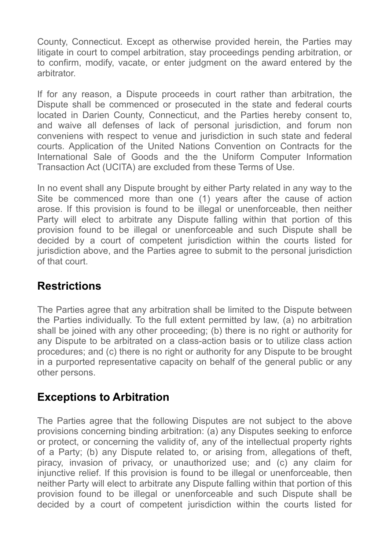County, Connecticut. Except as otherwise provided herein, the Parties may litigate in court to compel arbitration, stay proceedings pending arbitration, or to confirm, modify, vacate, or enter judgment on the award entered by the arbitrator.

If for any reason, a Dispute proceeds in court rather than arbitration, the Dispute shall be commenced or prosecuted in the state and federal courts located in Darien County, Connecticut, and the Parties hereby consent to, and waive all defenses of lack of personal jurisdiction, and forum non conveniens with respect to venue and jurisdiction in such state and federal courts. Application of the United Nations Convention on Contracts for the International Sale of Goods and the the Uniform Computer Information Transaction Act (UCITA) are excluded from these Terms of Use.

In no event shall any Dispute brought by either Party related in any way to the Site be commenced more than one (1) years after the cause of action arose. If this provision is found to be illegal or unenforceable, then neither Party will elect to arbitrate any Dispute falling within that portion of this provision found to be illegal or unenforceable and such Dispute shall be decided by a court of competent jurisdiction within the courts listed for jurisdiction above, and the Parties agree to submit to the personal jurisdiction of that court.

#### **Restrictions**

The Parties agree that any arbitration shall be limited to the Dispute between the Parties individually. To the full extent permitted by law, (a) no arbitration shall be joined with any other proceeding; (b) there is no right or authority for any Dispute to be arbitrated on a class-action basis or to utilize class action procedures; and (c) there is no right or authority for any Dispute to be brought in a purported representative capacity on behalf of the general public or any other persons.

#### **Exceptions to Arbitration**

The Parties agree that the following Disputes are not subject to the above provisions concerning binding arbitration: (a) any Disputes seeking to enforce or protect, or concerning the validity of, any of the intellectual property rights of a Party; (b) any Dispute related to, or arising from, allegations of theft, piracy, invasion of privacy, or unauthorized use; and (c) any claim for injunctive relief. If this provision is found to be illegal or unenforceable, then neither Party will elect to arbitrate any Dispute falling within that portion of this provision found to be illegal or unenforceable and such Dispute shall be decided by a court of competent jurisdiction within the courts listed for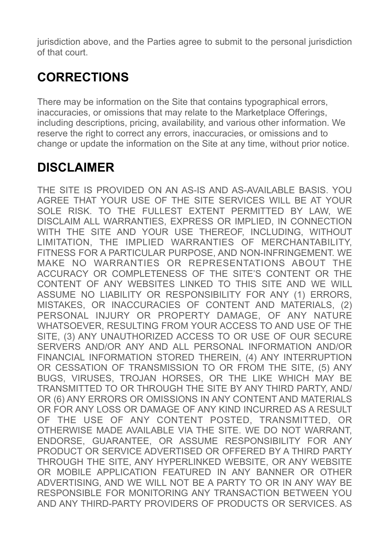jurisdiction above, and the Parties agree to submit to the personal jurisdiction of that court.

# **CORRECTIONS**

There may be information on the Site that contains typographical errors, inaccuracies, or omissions that may relate to the Marketplace Offerings, including descriptions, pricing, availability, and various other information. We reserve the right to correct any errors, inaccuracies, or omissions and to change or update the information on the Site at any time, without prior notice.

# **DISCLAIMER**

THE SITE IS PROVIDED ON AN AS-IS AND AS-AVAILABLE BASIS. YOU AGREE THAT YOUR USE OF THE SITE SERVICES WILL BE AT YOUR SOLE RISK. TO THE FULLEST EXTENT PERMITTED BY LAW, WE DISCLAIM ALL WARRANTIES, EXPRESS OR IMPLIED, IN CONNECTION WITH THE SITE AND YOUR USE THEREOF, INCLUDING, WITHOUT LIMITATION, THE IMPLIED WARRANTIES OF MERCHANTABILITY, FITNESS FOR A PARTICULAR PURPOSE, AND NON-INFRINGEMENT. WE MAKE NO WARRANTIES OR REPRESENTATIONS ABOUT THE ACCURACY OR COMPLETENESS OF THE SITE'S CONTENT OR THE CONTENT OF ANY WEBSITES LINKED TO THIS SITE AND WE WILL ASSUME NO LIABILITY OR RESPONSIBILITY FOR ANY (1) ERRORS, MISTAKES, OR INACCURACIES OF CONTENT AND MATERIALS, (2) PERSONAL INJURY OR PROPERTY DAMAGE, OF ANY NATURE WHATSOEVER, RESULTING FROM YOUR ACCESS TO AND USE OF THE SITE, (3) ANY UNAUTHORIZED ACCESS TO OR USE OF OUR SECURE SERVERS AND/OR ANY AND ALL PERSONAL INFORMATION AND/OR FINANCIAL INFORMATION STORED THEREIN, (4) ANY INTERRUPTION OR CESSATION OF TRANSMISSION TO OR FROM THE SITE, (5) ANY BUGS, VIRUSES, TROJAN HORSES, OR THE LIKE WHICH MAY BE TRANSMITTED TO OR THROUGH THE SITE BY ANY THIRD PARTY, AND/ OR (6) ANY ERRORS OR OMISSIONS IN ANY CONTENT AND MATERIALS OR FOR ANY LOSS OR DAMAGE OF ANY KIND INCURRED AS A RESULT OF THE USE OF ANY CONTENT POSTED, TRANSMITTED, OR OTHERWISE MADE AVAILABLE VIA THE SITE. WE DO NOT WARRANT, ENDORSE, GUARANTEE, OR ASSUME RESPONSIBILITY FOR ANY PRODUCT OR SERVICE ADVERTISED OR OFFERED BY A THIRD PARTY THROUGH THE SITE, ANY HYPERLINKED WEBSITE, OR ANY WEBSITE OR MOBILE APPLICATION FEATURED IN ANY BANNER OR OTHER ADVERTISING, AND WE WILL NOT BE A PARTY TO OR IN ANY WAY BE RESPONSIBLE FOR MONITORING ANY TRANSACTION BETWEEN YOU AND ANY THIRD-PARTY PROVIDERS OF PRODUCTS OR SERVICES. AS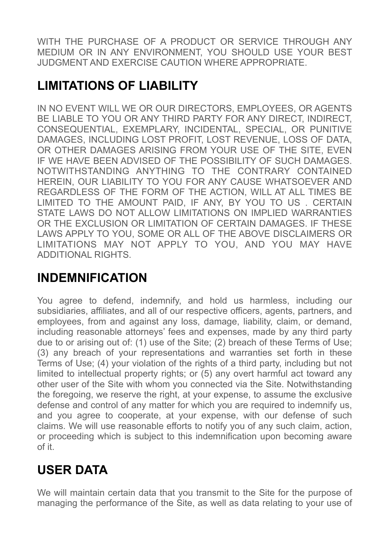WITH THE PURCHASE OF A PRODUCT OR SERVICE THROUGH ANY MEDIUM OR IN ANY ENVIRONMENT, YOU SHOULD USE YOUR BEST JUDGMENT AND EXERCISE CAUTION WHERE APPROPRIATE.

# **LIMITATIONS OF LIABILITY**

IN NO EVENT WILL WE OR OUR DIRECTORS, EMPLOYEES, OR AGENTS BE LIABLE TO YOU OR ANY THIRD PARTY FOR ANY DIRECT, INDIRECT, CONSEQUENTIAL, EXEMPLARY, INCIDENTAL, SPECIAL, OR PUNITIVE DAMAGES, INCLUDING LOST PROFIT, LOST REVENUE, LOSS OF DATA, OR OTHER DAMAGES ARISING FROM YOUR USE OF THE SITE, EVEN IF WE HAVE BEEN ADVISED OF THE POSSIBILITY OF SUCH DAMAGES. NOTWITHSTANDING ANYTHING TO THE CONTRARY CONTAINED HEREIN, OUR LIABILITY TO YOU FOR ANY CAUSE WHATSOEVER AND REGARDLESS OF THE FORM OF THE ACTION, WILL AT ALL TIMES BE LIMITED TO THE AMOUNT PAID, IF ANY, BY YOU TO US . CERTAIN STATE LAWS DO NOT ALLOW LIMITATIONS ON IMPLIED WARRANTIES OR THE EXCLUSION OR LIMITATION OF CERTAIN DAMAGES. IF THESE LAWS APPLY TO YOU, SOME OR ALL OF THE ABOVE DISCLAIMERS OR LIMITATIONS MAY NOT APPLY TO YOU, AND YOU MAY HAVE ADDITIONAL RIGHTS.

# **INDEMNIFICATION**

You agree to defend, indemnify, and hold us harmless, including our subsidiaries, affiliates, and all of our respective officers, agents, partners, and employees, from and against any loss, damage, liability, claim, or demand, including reasonable attorneys' fees and expenses, made by any third party due to or arising out of: (1) use of the Site; (2) breach of these Terms of Use; (3) any breach of your representations and warranties set forth in these Terms of Use; (4) your violation of the rights of a third party, including but not limited to intellectual property rights; or (5) any overt harmful act toward any other user of the Site with whom you connected via the Site. Notwithstanding the foregoing, we reserve the right, at your expense, to assume the exclusive defense and control of any matter for which you are required to indemnify us, and you agree to cooperate, at your expense, with our defense of such claims. We will use reasonable efforts to notify you of any such claim, action, or proceeding which is subject to this indemnification upon becoming aware of it.

# **USER DATA**

We will maintain certain data that you transmit to the Site for the purpose of managing the performance of the Site, as well as data relating to your use of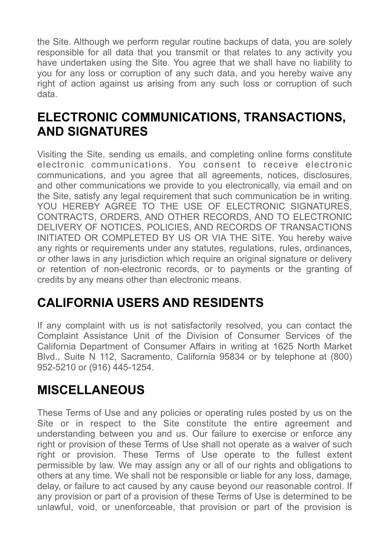the Site. Although we perform regular routine backups of data, you are solely responsible for all data that you transmit or that relates to any activity you have undertaken using the Site. You agree that we shall have no liability to you for any loss or corruption of any such data, and you hereby waive any right of action against us arising from any such loss or corruption of such data.

#### **ELECTRONIC COMMUNICATIONS, TRANSACTIONS, AND SIGNATURES**

Visiting the Site, sending us emails, and completing online forms constitute electronic communications. You consent to receive electronic communications, and you agree that all agreements, notices, disclosures, and other communications we provide to you electronically, via email and on the Site, satisfy any legal requirement that such communication be in writing. YOU HEREBY AGREE TO THE USE OF ELECTRONIC SIGNATURES. CONTRACTS, ORDERS, AND OTHER RECORDS, AND TO ELECTRONIC DELIVERY OF NOTICES, POLICIES, AND RECORDS OF TRANSACTIONS INITIATED OR COMPLETED BY US OR VIA THE SITE. You hereby waive any rights or requirements under any statutes, regulations, rules, ordinances, or other laws in any jurisdiction which require an original signature or delivery or retention of non-electronic records, or to payments or the granting of credits by any means other than electronic means.

# **CALIFORNIA USERS AND RESIDENTS**

If any complaint with us is not satisfactorily resolved, you can contact the Complaint Assistance Unit of the Division of Consumer Services of the California Department of Consumer Affairs in writing at 1625 North Market Blvd., Suite N 112, Sacramento, California 95834 or by telephone at (800) 952-5210 or (916) 445-1254.

#### **MISCELLANEOUS**

These Terms of Use and any policies or operating rules posted by us on the Site or in respect to the Site constitute the entire agreement and understanding between you and us. Our failure to exercise or enforce any right or provision of these Terms of Use shall not operate as a waiver of such right or provision. These Terms of Use operate to the fullest extent permissible by law. We may assign any or all of our rights and obligations to others at any time. We shall not be responsible or liable for any loss, damage, delay, or failure to act caused by any cause beyond our reasonable control. If any provision or part of a provision of these Terms of Use is determined to be unlawful, void, or unenforceable, that provision or part of the provision is